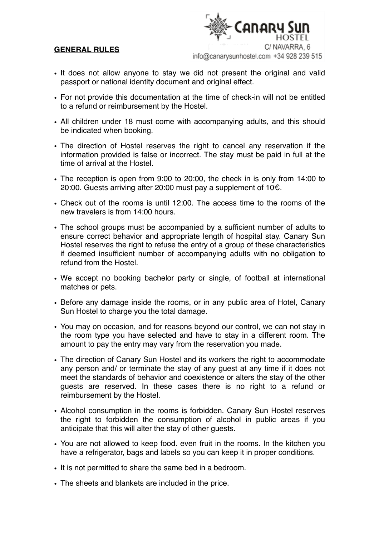## **GENERAL RULES**

**CANARY** C/NAVARRA 6

info@canarysunhostel.com +34 928 239 515

- It does not allow anyone to stay we did not present the original and valid passport or national identity document and original effect.
- For not provide this documentation at the time of check-in will not be entitled to a refund or reimbursement by the Hostel.
- All children under 18 must come with accompanying adults, and this should be indicated when booking.
- The direction of Hostel reserves the right to cancel any reservation if the information provided is false or incorrect. The stay must be paid in full at the time of arrival at the Hostel.
- The reception is open from 9:00 to 20:00, the check in is only from 14:00 to 20:00. Guests arriving after 20:00 must pay a supplement of 10€.
- Check out of the rooms is until 12:00. The access time to the rooms of the new travelers is from 14:00 hours.
- The school groups must be accompanied by a sufficient number of adults to ensure correct behavior and appropriate length of hospital stay. Canary Sun Hostel reserves the right to refuse the entry of a group of these characteristics if deemed insufficient number of accompanying adults with no obligation to refund from the Hostel.
- We accept no booking bachelor party or single, of football at international matches or pets.
- Before any damage inside the rooms, or in any public area of Hotel, Canary Sun Hostel to charge you the total damage.
- You may on occasion, and for reasons beyond our control, we can not stay in the room type you have selected and have to stay in a different room. The amount to pay the entry may vary from the reservation you made.
- The direction of Canary Sun Hostel and its workers the right to accommodate any person and/ or terminate the stay of any guest at any time if it does not meet the standards of behavior and coexistence or alters the stay of the other guests are reserved. In these cases there is no right to a refund or reimbursement by the Hostel.
- Alcohol consumption in the rooms is forbidden. Canary Sun Hostel reserves the right to forbidden the consumption of alcohol in public areas if you anticipate that this will alter the stay of other guests.
- You are not allowed to keep food. even fruit in the rooms. In the kitchen you have a refrigerator, bags and labels so you can keep it in proper conditions.
- It is not permitted to share the same bed in a bedroom.
- The sheets and blankets are included in the price.